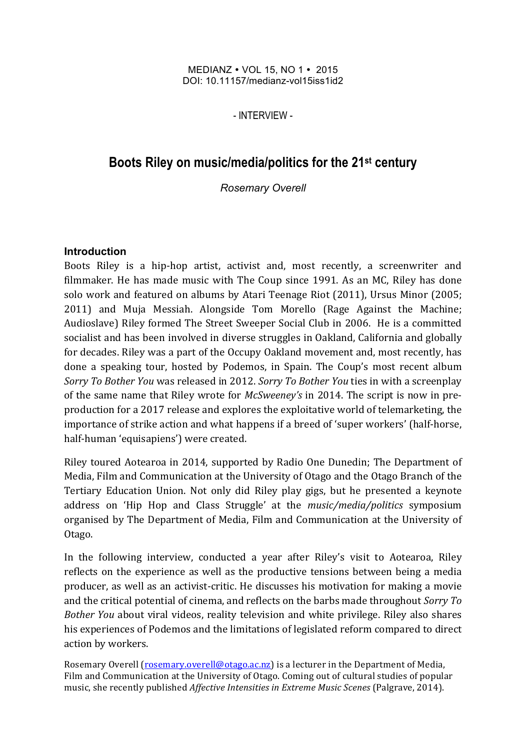#### MEDIANZ • VOL 15, NO 1 • 2015 DOI: 10.11157/medianz-vol15iss1id2

- INTERVIEW -

# **Boots Riley on music/media/politics for the 21st century**

*Rosemary Overell*

### **Introduction**

Boots Riley is a hip-hop artist, activist and, most recently, a screenwriter and filmmaker. He has made music with The Coup since 1991. As an MC, Riley has done solo work and featured on albums by Atari Teenage Riot (2011), Ursus Minor (2005; 2011) and Muja Messiah. Alongside Tom Morello (Rage Against the Machine; Audioslave) Riley formed The Street Sweeper Social Club in 2006. He is a committed socialist and has been involved in diverse struggles in Oakland, California and globally for decades. Riley was a part of the Occupy Oakland movement and, most recently, has done a speaking tour, hosted by Podemos, in Spain. The Coup's most recent album *Sorry* To Bother You was released in 2012. *Sorry* To Bother *You* ties in with a screenplay of the same name that Riley wrote for *McSweeney's* in 2014. The script is now in preproduction for a 2017 release and explores the exploitative world of telemarketing, the importance of strike action and what happens if a breed of 'super workers' (half-horse, half-human 'equisapiens') were created.

Riley toured Aotearoa in 2014, supported by Radio One Dunedin; The Department of Media, Film and Communication at the University of Otago and the Otago Branch of the Tertiary Education Union. Not only did Riley play gigs, but he presented a keynote address on 'Hip Hop and Class Struggle' at the *music/media/politics* symposium organised by The Department of Media, Film and Communication at the University of Otago.

In the following interview, conducted a year after Riley's visit to Aotearoa, Riley reflects on the experience as well as the productive tensions between being a media producer, as well as an activist-critic. He discusses his motivation for making a movie and the critical potential of cinema, and reflects on the barbs made throughout *Sorry To Bother You* about viral videos, reality television and white privilege. Riley also shares his experiences of Podemos and the limitations of legislated reform compared to direct action by workers.

Rosemary Overell (rosemary.overell@otago.ac.nz) is a lecturer in the Department of Media, Film and Communication at the University of Otago. Coming out of cultural studies of popular music, she recently published *Affective Intensities in Extreme Music Scenes* (Palgrave, 2014).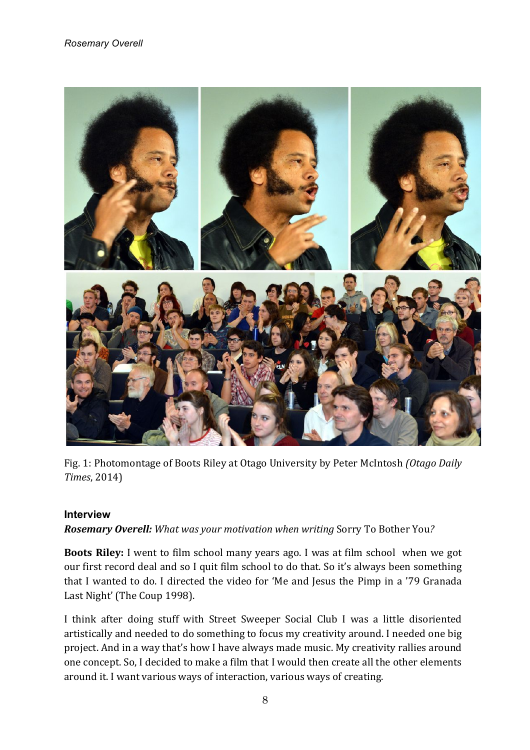

Fig. 1: Photomontage of Boots Riley at Otago University by Peter McIntosh *(Otago Daily Times*, 2014) 

### **Interview**

*Rosemary Overell: What was your motivation when writing Sorry To Bother You?* 

**Boots Riley:** I went to film school many years ago. I was at film school when we got our first record deal and so I quit film school to do that. So it's always been something that I wanted to do. I directed the video for 'Me and Jesus the Pimp in a '79 Granada Last Night' (The Coup 1998).

I think after doing stuff with Street Sweeper Social Club I was a little disoriented artistically and needed to do something to focus my creativity around. I needed one big project. And in a way that's how I have always made music. My creativity rallies around one concept. So, I decided to make a film that I would then create all the other elements around it. I want various ways of interaction, various ways of creating.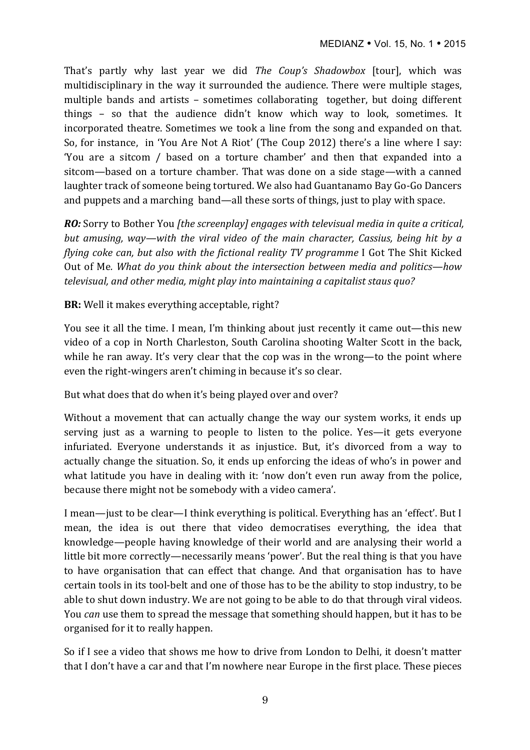That's partly why last year we did *The Coup's Shadowbox* [tour], which was multidisciplinary in the way it surrounded the audience. There were multiple stages, multiple bands and artists – sometimes collaborating together, but doing different things  $-$  so that the audience didn't know which way to look, sometimes. It incorporated theatre. Sometimes we took a line from the song and expanded on that. So, for instance, in 'You Are Not A Riot' (The Coup 2012) there's a line where I say: 'You are a sitcom / based on a torture chamber' and then that expanded into a sitcom—based on a torture chamber. That was done on a side stage—with a canned laughter track of someone being tortured. We also had Guantanamo Bay Go-Go Dancers and puppets and a marching band—all these sorts of things, just to play with space.

*RO:* Sorry to Bother You *[the screenplay]* engages with televisual media in quite a critical, *but amusing, way—with the viral video of the main character, Cassius, being hit by a flying coke can, but also with the fictional reality TV programme* I Got The Shit Kicked Out of Me. What do you think about the intersection between media and politics—how *televisual, and other media, might play into maintaining a capitalist staus quo?* 

**BR:** Well it makes everything acceptable, right?

You see it all the time. I mean, I'm thinking about just recently it came out—this new video of a cop in North Charleston, South Carolina shooting Walter Scott in the back, while he ran away. It's very clear that the cop was in the wrong—to the point where even the right-wingers aren't chiming in because it's so clear.

But what does that do when it's being played over and over?

Without a movement that can actually change the way our system works, it ends up serving just as a warning to people to listen to the police. Yes—it gets everyone infuriated. Everyone understands it as injustice. But, it's divorced from a way to actually change the situation. So, it ends up enforcing the ideas of who's in power and what latitude you have in dealing with it: 'now don't even run away from the police, because there might not be somebody with a video camera'.

I mean—just to be clear—I think everything is political. Everything has an 'effect'. But I mean, the idea is out there that video democratises everything, the idea that knowledge—people having knowledge of their world and are analysing their world a little bit more correctly—necessarily means 'power'. But the real thing is that you have to have organisation that can effect that change. And that organisation has to have certain tools in its tool-belt and one of those has to be the ability to stop industry, to be able to shut down industry. We are not going to be able to do that through viral videos. You *can* use them to spread the message that something should happen, but it has to be organised for it to really happen.

So if I see a video that shows me how to drive from London to Delhi, it doesn't matter that I don't have a car and that I'm nowhere near Europe in the first place. These pieces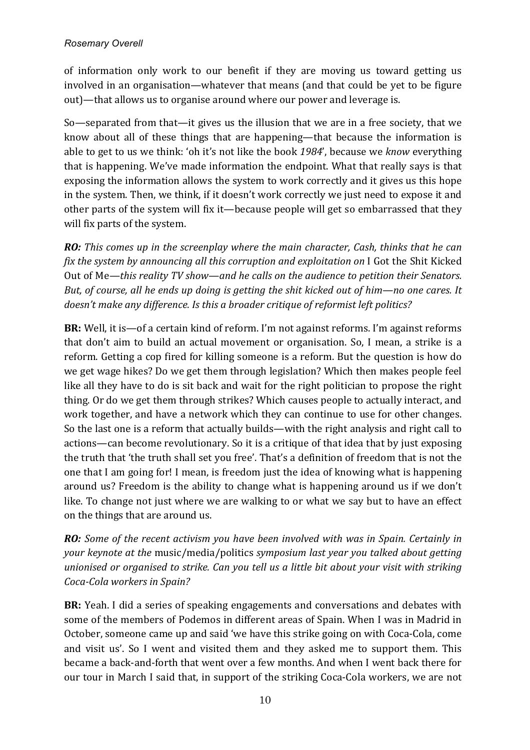of information only work to our benefit if they are moving us toward getting us involved in an organisation—whatever that means (and that could be yet to be figure out)—that allows us to organise around where our power and leverage is.

So—separated from that—it gives us the illusion that we are in a free society, that we know about all of these things that are happening—that because the information is able to get to us we think: 'oh it's not like the book 1984', because we *know* everything that is happening. We've made information the endpoint. What that really says is that exposing the information allows the system to work correctly and it gives us this hope in the system. Then, we think, if it doesn't work correctly we just need to expose it and other parts of the system will fix it—because people will get so embarrassed that they will fix parts of the system.

*RO: This* comes up in the screenplay where the main character, Cash, thinks that he can *fix* the system by announcing all this corruption and exploitation on I Got the Shit Kicked Out of Me—this reality TV show—and he calls on the audience to petition their Senators. *But, of course, all he ends up doing is getting the shit kicked out of him—no one cares. It doesn't make any difference. Is this a broader critique of reformist left politics?* 

**BR:** Well, it is—of a certain kind of reform. I'm not against reforms. I'm against reforms that don't aim to build an actual movement or organisation. So, I mean, a strike is a reform. Getting a cop fired for killing someone is a reform. But the question is how do we get wage hikes? Do we get them through legislation? Which then makes people feel like all they have to do is sit back and wait for the right politician to propose the right thing. Or do we get them through strikes? Which causes people to actually interact, and work together, and have a network which they can continue to use for other changes. So the last one is a reform that actually builds—with the right analysis and right call to actions—can become revolutionary. So it is a critique of that idea that by just exposing the truth that 'the truth shall set you free'. That's a definition of freedom that is not the one that I am going for! I mean, is freedom just the idea of knowing what is happening around us? Freedom is the ability to change what is happening around us if we don't like. To change not just where we are walking to or what we say but to have an effect on the things that are around us.

*RO: Some of the recent activism you have been involved with was in Spain. Certainly in your keynote at the music/media/politics symposium last year you talked about getting unionised or organised to strike. Can you tell us a little bit about your visit with striking Coca-Cola workers in Spain?*

**BR:** Yeah. I did a series of speaking engagements and conversations and debates with some of the members of Podemos in different areas of Spain. When I was in Madrid in October, someone came up and said 'we have this strike going on with Coca-Cola, come and visit us'. So I went and visited them and they asked me to support them. This became a back-and-forth that went over a few months. And when I went back there for our tour in March I said that, in support of the striking Coca-Cola workers, we are not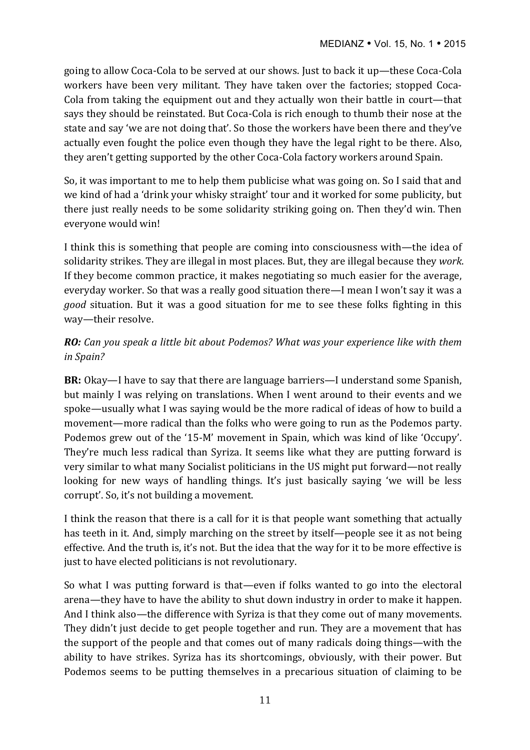going to allow Coca-Cola to be served at our shows. Just to back it up—these Coca-Cola workers have been very militant. They have taken over the factories; stopped Coca-Cola from taking the equipment out and they actually won their battle in court—that says they should be reinstated. But Coca-Cola is rich enough to thumb their nose at the state and say 'we are not doing that'. So those the workers have been there and they've actually even fought the police even though they have the legal right to be there. Also, they aren't getting supported by the other Coca-Cola factory workers around Spain.

So, it was important to me to help them publicise what was going on. So I said that and we kind of had a 'drink your whisky straight' tour and it worked for some publicity, but there just really needs to be some solidarity striking going on. Then they'd win. Then everyone would win!

I think this is something that people are coming into consciousness with—the idea of solidarity strikes. They are illegal in most places. But, they are illegal because they *work*. If they become common practice, it makes negotiating so much easier for the average, everyday worker. So that was a really good situation there—I mean I won't say it was a *good* situation. But it was a good situation for me to see these folks fighting in this way-their resolve.

## *RO: Can you speak a little bit about Podemos? What was your experience like with them in Spain?*

**BR:** Okay—I have to say that there are language barriers—I understand some Spanish, but mainly I was relying on translations. When I went around to their events and we spoke—usually what I was saying would be the more radical of ideas of how to build a movement—more radical than the folks who were going to run as the Podemos party. Podemos grew out of the '15-M' movement in Spain, which was kind of like 'Occupy'. They're much less radical than Syriza. It seems like what they are putting forward is very similar to what many Socialist politicians in the US might put forward—not really looking for new ways of handling things. It's just basically saying 'we will be less corrupt'. So, it's not building a movement.

I think the reason that there is a call for it is that people want something that actually has teeth in it. And, simply marching on the street by itself—people see it as not being effective. And the truth is, it's not. But the idea that the way for it to be more effective is just to have elected politicians is not revolutionary.

So what I was putting forward is that—even if folks wanted to go into the electoral arena—they have to have the ability to shut down industry in order to make it happen. And I think also—the difference with Syriza is that they come out of many movements. They didn't just decide to get people together and run. They are a movement that has the support of the people and that comes out of many radicals doing things—with the ability to have strikes. Syriza has its shortcomings, obviously, with their power. But Podemos seems to be putting themselves in a precarious situation of claiming to be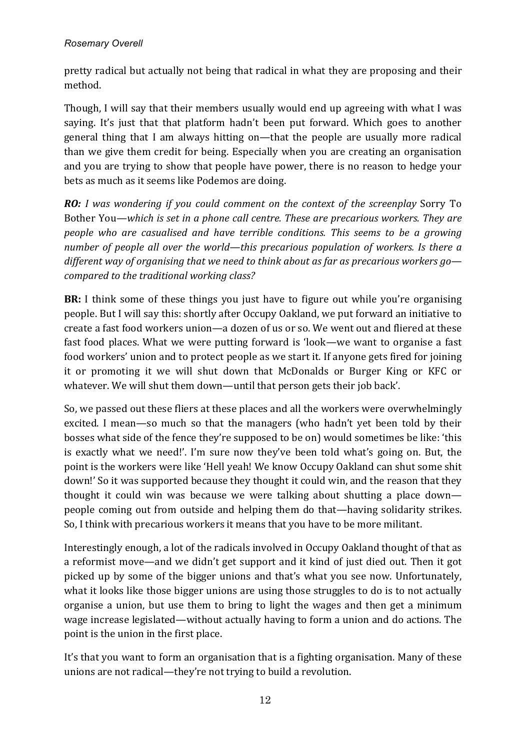pretty radical but actually not being that radical in what they are proposing and their method.

Though, I will say that their members usually would end up agreeing with what I was saying. It's just that that platform hadn't been put forward. Which goes to another general thing that I am always hitting on—that the people are usually more radical than we give them credit for being. Especially when you are creating an organisation and you are trying to show that people have power, there is no reason to hedge your bets as much as it seems like Podemos are doing.

*RO: I* was wondering if you could comment on the context of the screenplay Sorry To Bother You—which is set in a phone call centre. These are precarious workers. They are *people who are casualised and have terrible conditions. This seems to be a growing number of people all over the world—this precarious population of workers. Is there a* different way of organising that we need to think about as far as precarious workers go*compared to the traditional working class?* 

**BR:** I think some of these things you just have to figure out while you're organising people. But I will say this: shortly after Occupy Oakland, we put forward an initiative to create a fast food workers union—a dozen of us or so. We went out and fliered at these fast food places. What we were putting forward is 'look—we want to organise a fast food workers' union and to protect people as we start it. If anyone gets fired for joining it or promoting it we will shut down that McDonalds or Burger King or KFC or whatever. We will shut them down—until that person gets their job back'.

So, we passed out these fliers at these places and all the workers were overwhelmingly excited. I mean—so much so that the managers (who hadn't yet been told by their bosses what side of the fence they're supposed to be on) would sometimes be like: 'this is exactly what we need!'. I'm sure now they've been told what's going on. But, the point is the workers were like 'Hell yeah! We know Occupy Oakland can shut some shit down!' So it was supported because they thought it could win, and the reason that they thought it could win was because we were talking about shutting a place down people coming out from outside and helping them do that—having solidarity strikes. So, I think with precarious workers it means that you have to be more militant.

Interestingly enough, a lot of the radicals involved in Occupy Oakland thought of that as a reformist move—and we didn't get support and it kind of just died out. Then it got picked up by some of the bigger unions and that's what you see now. Unfortunately, what it looks like those bigger unions are using those struggles to do is to not actually organise a union, but use them to bring to light the wages and then get a minimum wage increase legislated—without actually having to form a union and do actions. The point is the union in the first place.

It's that you want to form an organisation that is a fighting organisation. Many of these unions are not radical—they're not trying to build a revolution.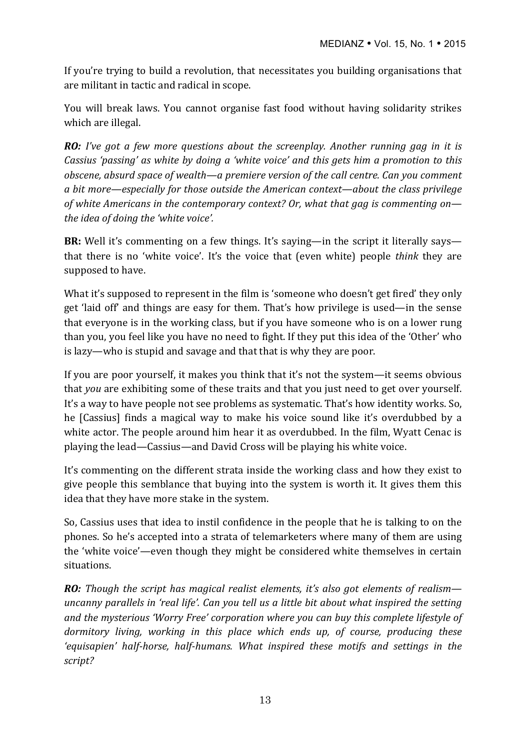If you're trying to build a revolution, that necessitates you building organisations that are militant in tactic and radical in scope.

You will break laws. You cannot organise fast food without having solidarity strikes which are illegal.

*RO: I've got a few more questions about the screenplay. Another running gag in it is Cassius 'passing' as white by doing a 'white voice' and this gets him a promotion to this obscene, absurd space of wealth—a premiere version of the call centre. Can you comment a* bit more—especially for those outside the American context—about the class privilege *of* white Americans in the contemporary context? Or, what that gag is commenting on the idea of doing the 'white voice'.

**BR:** Well it's commenting on a few things. It's saying—in the script it literally says that there is no 'white voice'. It's the voice that (even white) people *think* they are supposed to have.

What it's supposed to represent in the film is 'someone who doesn't get fired' they only get 'laid off' and things are easy for them. That's how privilege is used—in the sense that everyone is in the working class, but if you have someone who is on a lower rung than you, you feel like you have no need to fight. If they put this idea of the 'Other' who is lazy—who is stupid and savage and that that is why they are poor.

If you are poor yourself, it makes you think that it's not the system—it seems obvious that *you* are exhibiting some of these traits and that you just need to get over yourself. It's a way to have people not see problems as systematic. That's how identity works. So, he [Cassius] finds a magical way to make his voice sound like it's overdubbed by a white actor. The people around him hear it as overdubbed. In the film, Wyatt Cenac is playing the lead—Cassius—and David Cross will be playing his white voice.

It's commenting on the different strata inside the working class and how they exist to give people this semblance that buying into the system is worth it. It gives them this idea that they have more stake in the system.

So, Cassius uses that idea to instil confidence in the people that he is talking to on the phones. So he's accepted into a strata of telemarketers where many of them are using the 'white voice'—even though they might be considered white themselves in certain situations. 

*RO: Though the script has magical realist elements, it's also got elements of realism uncanny parallels in 'real life'. Can you tell us a little bit about what inspired the setting* and the mysterious 'Worry Free' corporation where you can buy this complete lifestyle of dormitory living, working in this place which ends up, of course, producing these 'equisapien' half-horse, half-humans. What inspired these motifs and settings in the *script?*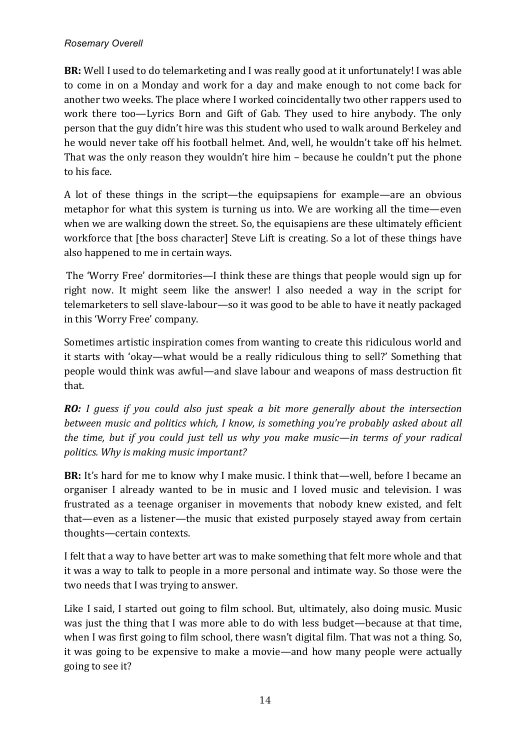**BR:** Well I used to do telemarketing and I was really good at it unfortunately! I was able to come in on a Monday and work for a day and make enough to not come back for another two weeks. The place where I worked coincidentally two other rappers used to work there too—Lyrics Born and Gift of Gab. They used to hire anybody. The only person that the guy didn't hire was this student who used to walk around Berkeley and he would never take off his football helmet. And, well, he wouldn't take off his helmet. That was the only reason they wouldn't hire  $him - because he couldn't put the phone$ to his face.

A lot of these things in the script—the equipsapiens for example—are an obvious metaphor for what this system is turning us into. We are working all the time—even when we are walking down the street. So, the equisapiens are these ultimately efficient workforce that [the boss character] Steve Lift is creating. So a lot of these things have also happened to me in certain ways.

The 'Worry Free' dormitories—I think these are things that people would sign up for right now. It might seem like the answer! I also needed a way in the script for telemarketers to sell slave-labour—so it was good to be able to have it neatly packaged in this 'Worry Free' company.

Sometimes artistic inspiration comes from wanting to create this ridiculous world and it starts with 'okay—what would be a really ridiculous thing to sell?' Something that people would think was awful—and slave labour and weapons of mass destruction fit that. 

*RO: I* guess if you could also just speak a bit more generally about the intersection *between music and politics which, I know, is something you're probably asked about all the time, but if you could just tell us why you make music—in terms of your radical* politics. Why is making music important?

**BR:** It's hard for me to know why I make music. I think that—well, before I became an organiser I already wanted to be in music and I loved music and television. I was frustrated as a teenage organiser in movements that nobody knew existed, and felt that—even as a listener—the music that existed purposely stayed away from certain thoughts-certain contexts.

I felt that a way to have better art was to make something that felt more whole and that it was a way to talk to people in a more personal and intimate way. So those were the two needs that I was trying to answer.

Like I said, I started out going to film school. But, ultimately, also doing music. Music was just the thing that I was more able to do with less budget—because at that time, when I was first going to film school, there wasn't digital film. That was not a thing. So, it was going to be expensive to make a movie—and how many people were actually going to see it?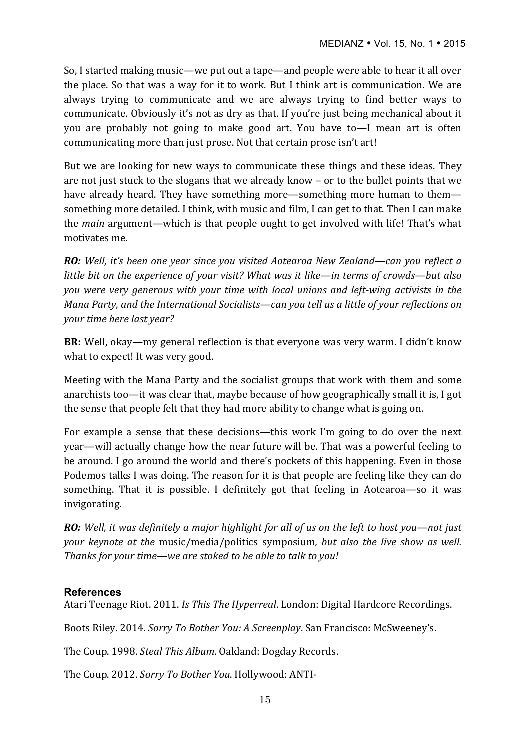So, I started making music—we put out a tape—and people were able to hear it all over the place. So that was a way for it to work. But I think art is communication. We are always trying to communicate and we are always trying to find better ways to communicate. Obviously it's not as dry as that. If you're just being mechanical about it you are probably not going to make good art. You have to—I mean art is often communicating more than just prose. Not that certain prose isn't art!

But we are looking for new ways to communicate these things and these ideas. They are not just stuck to the slogans that we already know – or to the bullet points that we have already heard. They have something more—something more human to them something more detailed. I think, with music and film, I can get to that. Then I can make the *main* argument—which is that people ought to get involved with life! That's what motivates me.

*RO:* Well, it's been one year since you visited Aotearoa New Zealand—can you reflect a *little bit on the experience of your visit? What was it like—in terms of crowds—but also you* were very generous with your time with local unions and left-wing activists in the *Mana Party, and the International Socialists—can you tell us a little of your reflections on your time here last year?*

**BR:** Well, okay—my general reflection is that everyone was very warm. I didn't know what to expect! It was very good.

Meeting with the Mana Party and the socialist groups that work with them and some anarchists too—it was clear that, maybe because of how geographically small it is, I got the sense that people felt that they had more ability to change what is going on.

For example a sense that these decisions—this work I'm going to do over the next year—will actually change how the near future will be. That was a powerful feeling to be around. I go around the world and there's pockets of this happening. Even in those Podemos talks I was doing. The reason for it is that people are feeling like they can do something. That it is possible. I definitely got that feeling in Aotearoa—so it was invigorating.

*RO:* Well, it was definitely a major highlight for all of us on the left to host you—not just *your keynote at the music/media/politics symposium, but also the live show as well.* Thanks for your time—we are stoked to be able to talk to you!

### **References**

Atari Teenage Riot. 2011. *Is This The Hyperreal*. London: Digital Hardcore Recordings.

Boots Riley. 2014. *Sorry To Bother You: A Screenplay*. San Francisco: McSweeney's.

The Coup. 1998. *Steal This Album*. Oakland: Dogday Records.

The Coup. 2012. *Sorry To Bother You*. Hollywood: ANTI-